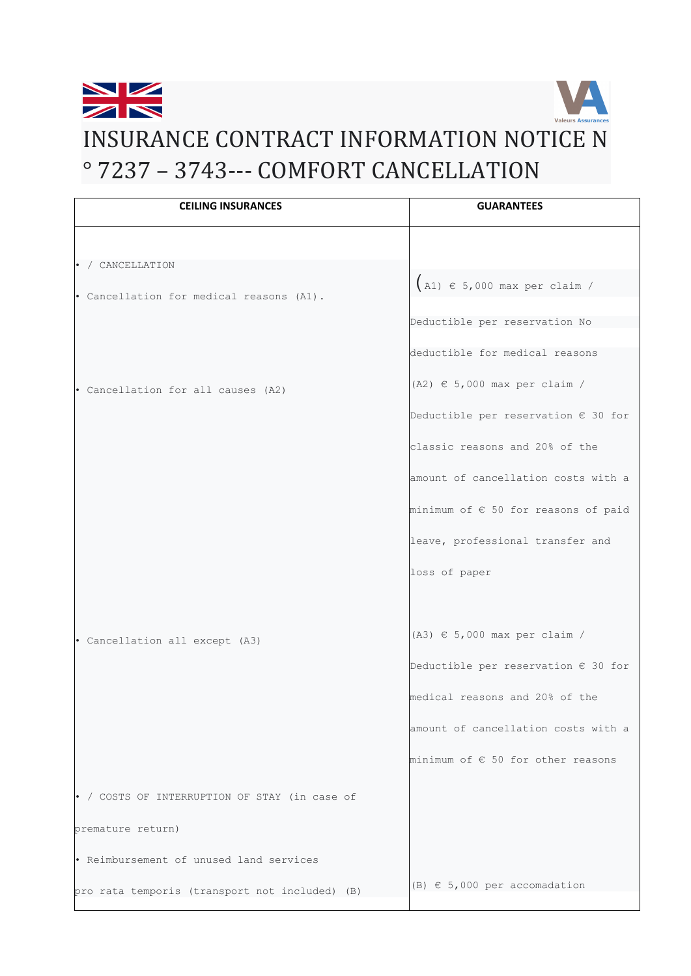

# [INSURANCE C](https://en.wikipedia.org/wiki/Union_Jack)ONTRACT INFORMATION NOTICE N ° 7237 – 3743--- COMFORT CANCELLATION

| <b>CEILING INSURANCES</b>                      | <b>GUARANTEES</b>                            |
|------------------------------------------------|----------------------------------------------|
|                                                |                                              |
| • / CANCELLATION                               |                                              |
| · Cancellation for medical reasons (A1).       | $(A1) \in 5,000$ max per claim /             |
|                                                | Deductible per reservation No                |
|                                                |                                              |
|                                                | deductible for medical reasons               |
| • Cancellation for all causes (A2)             | $(A2) \in 5,000$ max per claim /             |
|                                                | Deductible per reservation $\epsilon$ 30 for |
|                                                | classic reasons and 20% of the               |
|                                                | amount of cancellation costs with a          |
|                                                | minimum of € 50 for reasons of paid          |
|                                                | leave, professional transfer and             |
|                                                | loss of paper                                |
|                                                |                                              |
| · Cancellation all except (A3)                 | $(A3) \in 5,000$ max per claim /             |
|                                                | Deductible per reservation $\epsilon$ 30 for |
|                                                | medical reasons and 20% of the               |
|                                                | amount of cancellation costs with a          |
|                                                | minimum of $\epsilon$ 50 for other reasons   |
| • / COSTS OF INTERRUPTION OF STAY (in case of  |                                              |
| premature return)                              |                                              |
| . Reimbursement of unused land services        |                                              |
| pro rata temporis (transport not included) (B) | $(B) \in 5,000$ per accomadation             |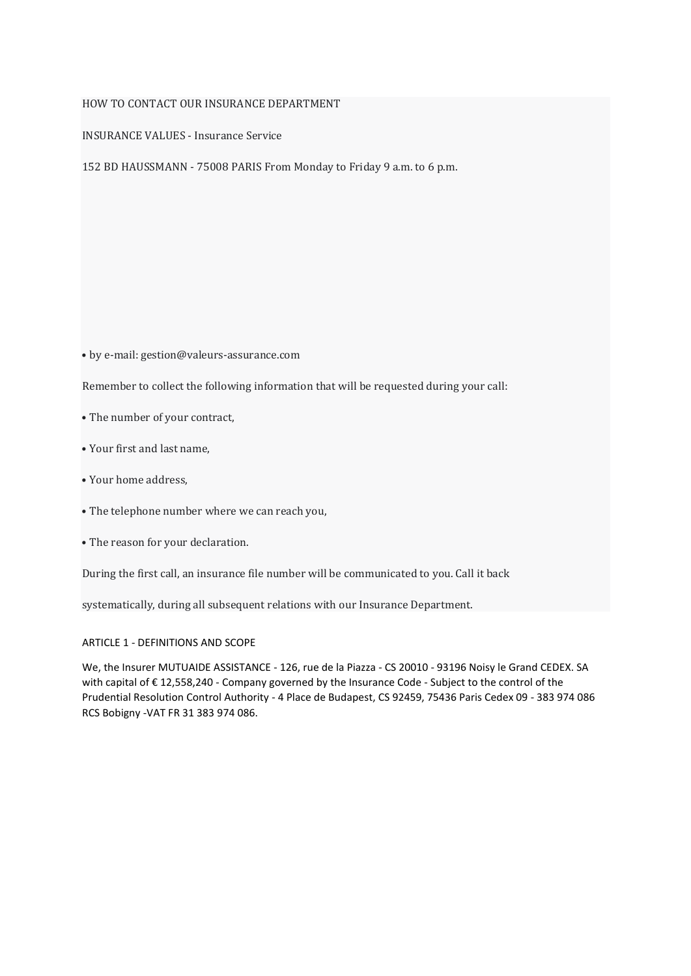# HOW TO CONTACT OUR INSURANCE DEPARTMENT

INSURANCE VALUES - Insurance Service

152 BD HAUSSMANN - 75008 PARIS From Monday to Friday 9 a.m. to 6 p.m.

• by e-mail: gestion@[valeurs-assurance](mailto:values-assurances@hotmail.com).com

Remember to collect the following information that will be requested during your call:

- The number of your contract,
- Your first and last name,
- Your home address,
- The telephone number where we can reach you,
- The reason for your declaration.

During the first call, an insurance file number will be communicated to you. Call it back

systematically, during all subsequent relations with our Insurance Department.

# ARTICLE 1 - DEFINITIONS AND SCOPE

We, the Insurer MUTUAIDE ASSISTANCE - 126, rue de la Piazza - CS 20010 - 93196 Noisy le Grand CEDEX. SA with capital of € 12,558,240 - Company governed by the Insurance Code - Subject to the control of the Prudential Resolution Control Authority - 4 Place de Budapest, CS 92459, 75436 Paris Cedex 09 - 383 974 086 RCS Bobigny -VAT FR 31 383 974 086.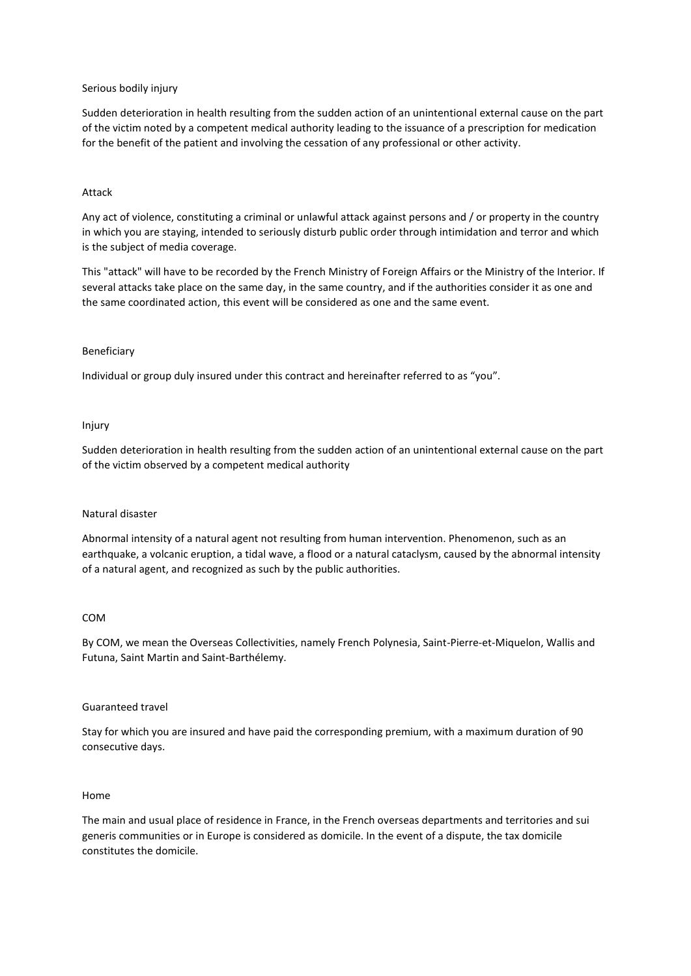# Serious bodily injury

Sudden deterioration in health resulting from the sudden action of an unintentional external cause on the part of the victim noted by a competent medical authority leading to the issuance of a prescription for medication for the benefit of the patient and involving the cessation of any professional or other activity.

## Attack

Any act of violence, constituting a criminal or unlawful attack against persons and / or property in the country in which you are staying, intended to seriously disturb public order through intimidation and terror and which is the subject of media coverage.

This "attack" will have to be recorded by the French Ministry of Foreign Affairs or the Ministry of the Interior. If several attacks take place on the same day, in the same country, and if the authorities consider it as one and the same coordinated action, this event will be considered as one and the same event.

## Beneficiary

Individual or group duly insured under this contract and hereinafter referred to as "you".

#### Injury

Sudden deterioration in health resulting from the sudden action of an unintentional external cause on the part of the victim observed by a competent medical authority

#### Natural disaster

Abnormal intensity of a natural agent not resulting from human intervention. Phenomenon, such as an earthquake, a volcanic eruption, a tidal wave, a flood or a natural cataclysm, caused by the abnormal intensity of a natural agent, and recognized as such by the public authorities.

## COM

By COM, we mean the Overseas Collectivities, namely French Polynesia, Saint-Pierre-et-Miquelon, Wallis and Futuna, Saint Martin and Saint-Barthélemy.

# Guaranteed travel

Stay for which you are insured and have paid the corresponding premium, with a maximum duration of 90 consecutive days.

#### Home

The main and usual place of residence in France, in the French overseas departments and territories and sui generis communities or in Europe is considered as domicile. In the event of a dispute, the tax domicile constitutes the domicile.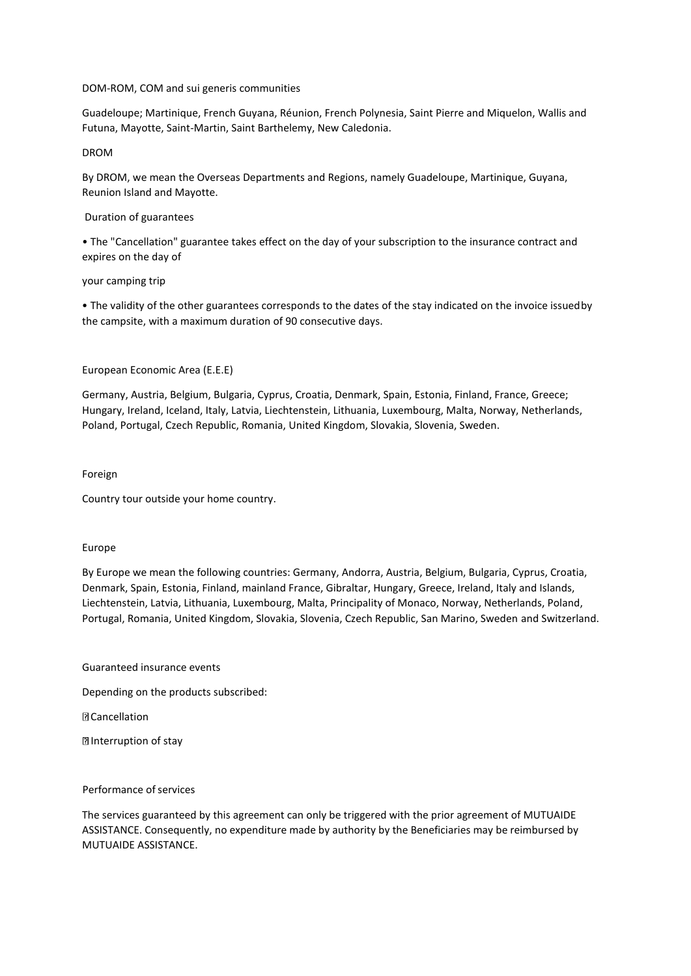# DOM-ROM, COM and sui generis communities

Guadeloupe; Martinique, French Guyana, Réunion, French Polynesia, Saint Pierre and Miquelon, Wallis and Futuna, Mayotte, Saint-Martin, Saint Barthelemy, New Caledonia.

# DROM

By DROM, we mean the Overseas Departments and Regions, namely Guadeloupe, Martinique, Guyana, Reunion Island and Mayotte.

# Duration of guarantees

• The "Cancellation" guarantee takes effect on the day of your subscription to the insurance contract and expires on the day of

# your camping trip

• The validity of the other guarantees corresponds to the dates of the stay indicated on the invoice issuedby the campsite, with a maximum duration of 90 consecutive days.

# European Economic Area (E.E.E)

Germany, Austria, Belgium, Bulgaria, Cyprus, Croatia, Denmark, Spain, Estonia, Finland, France, Greece; Hungary, Ireland, Iceland, Italy, Latvia, Liechtenstein, Lithuania, Luxembourg, Malta, Norway, Netherlands, Poland, Portugal, Czech Republic, Romania, United Kingdom, Slovakia, Slovenia, Sweden.

## Foreign

Country tour outside your home country.

## Europe

By Europe we mean the following countries: Germany, Andorra, Austria, Belgium, Bulgaria, Cyprus, Croatia, Denmark, Spain, Estonia, Finland, mainland France, Gibraltar, Hungary, Greece, Ireland, Italy and Islands, Liechtenstein, Latvia, Lithuania, Luxembourg, Malta, Principality of Monaco, Norway, Netherlands, Poland, Portugal, Romania, United Kingdom, Slovakia, Slovenia, Czech Republic, San Marino, Sweden and Switzerland.

Guaranteed insurance events

Depending on the products subscribed:

**D** Cancellation

Interruption of stay

## Performance of services

The services guaranteed by this agreement can only be triggered with the prior agreement of MUTUAIDE ASSISTANCE. Consequently, no expenditure made by authority by the Beneficiaries may be reimbursed by MUTUAIDE ASSISTANCE.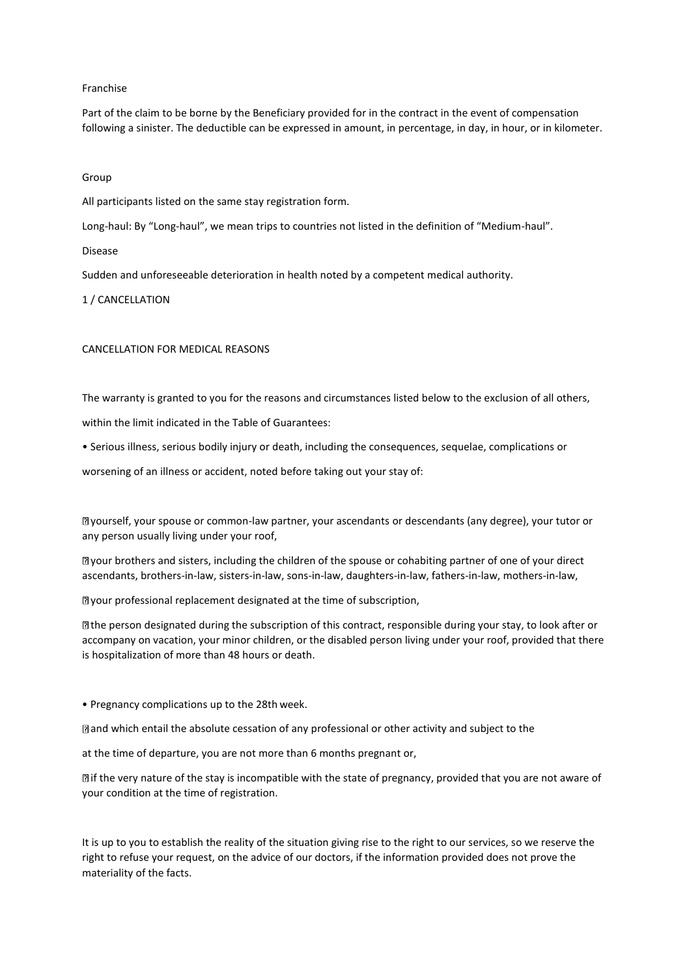# Franchise

Part of the claim to be borne by the Beneficiary provided for in the contract in the event of compensation following a sinister. The deductible can be expressed in amount, in percentage, in day, in hour, or in kilometer.

## Group

All participants listed on the same stay registration form.

Long-haul: By "Long-haul", we mean trips to countries not listed in the definition of "Medium-haul".

#### Disease

Sudden and unforeseeable deterioration in health noted by a competent medical authority.

# 1 / CANCELLATION

# CANCELLATION FOR MEDICAL REASONS

The warranty is granted to you for the reasons and circumstances listed below to the exclusion of all others,

within the limit indicated in the Table of Guarantees:

• Serious illness, serious bodily injury or death, including the consequences, sequelae, complications or

worsening of an illness or accident, noted before taking out your stay of:

yourself, your spouse or common-law partner, your ascendants or descendants (any degree), your tutor or any person usually living under your roof,

your brothers and sisters, including the children of the spouse or cohabiting partner of one of your direct ascendants, brothers-in-law, sisters-in-law, sons-in-law, daughters-in-law, fathers-in-law, mothers-in-law,

your professional replacement designated at the time of subscription,

the person designated during the subscription of this contract, responsible during your stay, to look after or accompany on vacation, your minor children, or the disabled person living under your roof, provided that there is hospitalization of more than 48 hours or death.

• Pregnancy complications up to the 28th week.

and which entail the absolute cessation of any professional or other activity and subject to the

at the time of departure, you are not more than 6 months pregnant or,

if the very nature of the stay is incompatible with the state of pregnancy, provided that you are not aware of your condition at the time of registration.

It is up to you to establish the reality of the situation giving rise to the right to our services, so we reserve the right to refuse your request, on the advice of our doctors, if the information provided does not prove the materiality of the facts.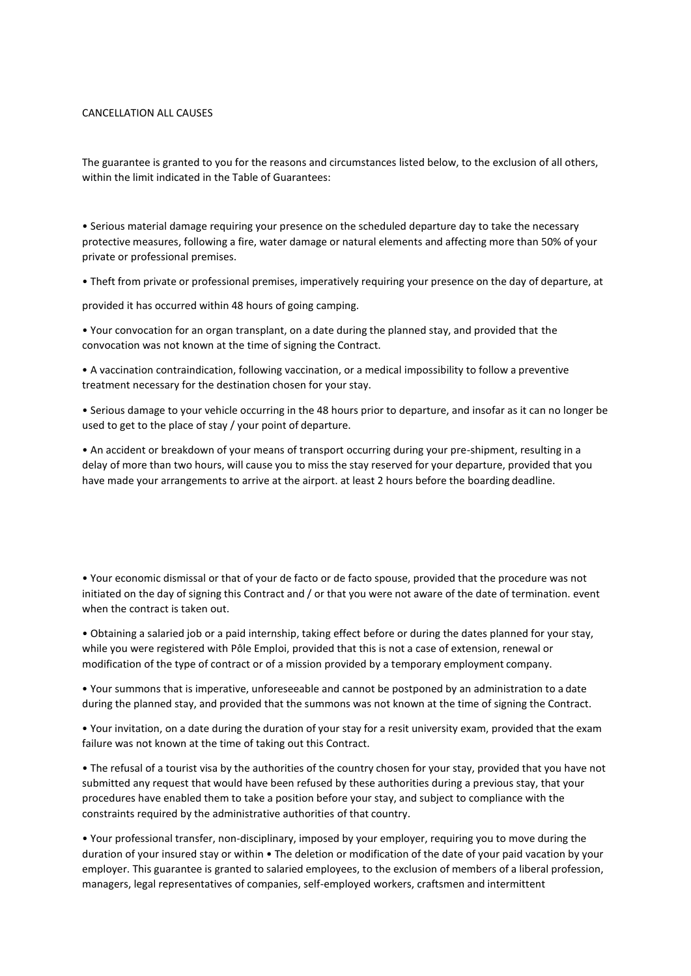## CANCELLATION ALL CAUSES

The guarantee is granted to you for the reasons and circumstances listed below, to the exclusion of all others, within the limit indicated in the Table of Guarantees:

• Serious material damage requiring your presence on the scheduled departure day to take the necessary protective measures, following a fire, water damage or natural elements and affecting more than 50% of your private or professional premises.

• Theft from private or professional premises, imperatively requiring your presence on the day of departure, at

provided it has occurred within 48 hours of going camping.

• Your convocation for an organ transplant, on a date during the planned stay, and provided that the convocation was not known at the time of signing the Contract.

• A vaccination contraindication, following vaccination, or a medical impossibility to follow a preventive treatment necessary for the destination chosen for your stay.

• Serious damage to your vehicle occurring in the 48 hours prior to departure, and insofar as it can no longer be used to get to the place of stay / your point of departure.

• An accident or breakdown of your means of transport occurring during your pre-shipment, resulting in a delay of more than two hours, will cause you to miss the stay reserved for your departure, provided that you have made your arrangements to arrive at the airport. at least 2 hours before the boarding deadline.

• Your economic dismissal or that of your de facto or de facto spouse, provided that the procedure was not initiated on the day of signing this Contract and / or that you were not aware of the date of termination. event when the contract is taken out.

• Obtaining a salaried job or a paid internship, taking effect before or during the dates planned for your stay, while you were registered with Pôle Emploi, provided that this is not a case of extension, renewal or modification of the type of contract or of a mission provided by a temporary employment company.

• Your summons that is imperative, unforeseeable and cannot be postponed by an administration to a date during the planned stay, and provided that the summons was not known at the time of signing the Contract.

• Your invitation, on a date during the duration of your stay for a resit university exam, provided that the exam failure was not known at the time of taking out this Contract.

• The refusal of a tourist visa by the authorities of the country chosen for your stay, provided that you have not submitted any request that would have been refused by these authorities during a previous stay, that your procedures have enabled them to take a position before your stay, and subject to compliance with the constraints required by the administrative authorities of that country.

• Your professional transfer, non-disciplinary, imposed by your employer, requiring you to move during the duration of your insured stay or within • The deletion or modification of the date of your paid vacation by your employer. This guarantee is granted to salaried employees, to the exclusion of members of a liberal profession, managers, legal representatives of companies, self-employed workers, craftsmen and intermittent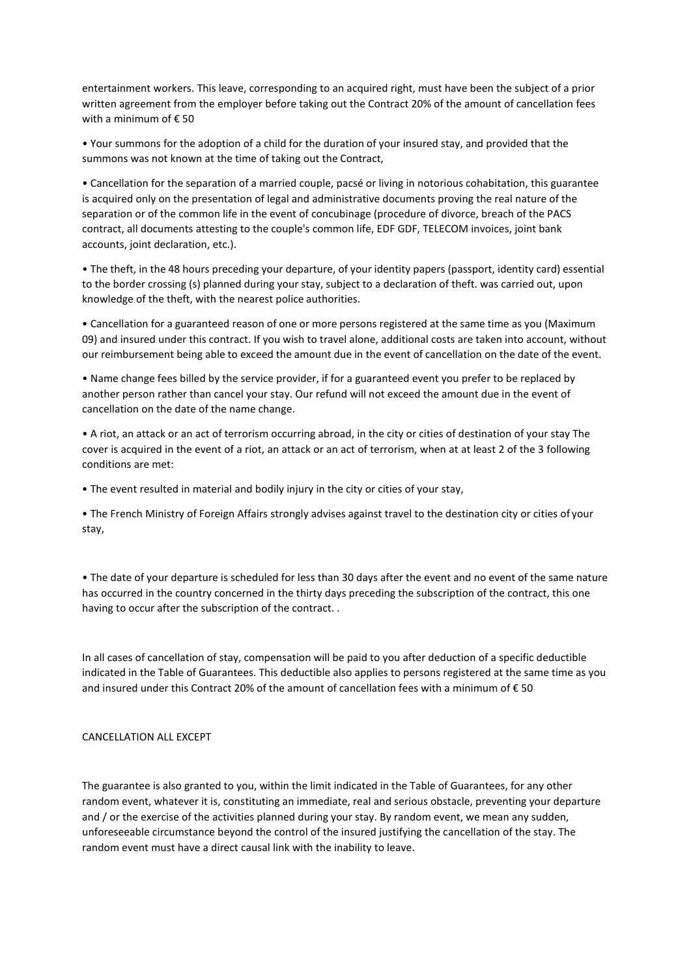entertainment workers. This leave, corresponding to an acquired right, must have been the subject of a prior written agreement from the employer before taking out the Contract 20% of the amount of cancellation fees with a minimum of € 50

• Your summons for the adoption of a child for the duration of your insured stay, and provided that the summons was not known at the time of taking out the Contract,

• Cancellation for the separation of a married couple, pacsé or living in notorious cohabitation, this guarantee is acquired only on the presentation of legal and administrative documents proving the real nature of the separation or of the common life in the event of concubinage (procedure of divorce, breach of the PACS contract, all documents attesting to the couple's common life, EDF GDF, TELECOM invoices, joint bank accounts, joint declaration, etc.).

• The theft, in the 48 hours preceding your departure, of your identity papers (passport, identity card) essential to the border crossing (s) planned during your stay, subject to a declaration of theft. was carried out, upon knowledge of the theft, with the nearest police authorities.

• Cancellation for a guaranteed reason of one or more persons registered at the same time as you (Maximum 09) and insured under this contract. If you wish to travel alone, additional costs are taken into account, without our reimbursement being able to exceed the amount due in the event of cancellation on the date of the event.

• Name change fees billed by the service provider, if for a guaranteed event you prefer to be replaced by another person rather than cancel your stay. Our refund will not exceed the amount due in the event of cancellation on the date of the name change.

• A riot, an attack or an act of terrorism occurring abroad, in the city or cities of destination of your stay The cover is acquired in the event of a riot, an attack or an act of terrorism, when at at least 2 of the 3 following conditions are met:

• The event resulted in material and bodily injury in the city or cities of your stay,

• The French Ministry of Foreign Affairs strongly advises against travel to the destination city or cities of your stay,

• The date of your departure is scheduled for less than 30 days after the event and no event of the same nature has occurred in the country concerned in the thirty days preceding the subscription of the contract, this one having to occur after the subscription of the contract. .

In all cases of cancellation of stay, compensation will be paid to you after deduction of a specific deductible indicated in the Table of Guarantees. This deductible also applies to persons registered at the same time as you and insured under this Contract 20% of the amount of cancellation fees with a minimum of € 50

# CANCELLATION ALL EXCEPT

The guarantee is also granted to you, within the limit indicated in the Table of Guarantees, for any other random event, whatever it is, constituting an immediate, real and serious obstacle, preventing your departure and / or the exercise of the activities planned during your stay. By random event, we mean any sudden, unforeseeable circumstance beyond the control of the insured justifying the cancellation of the stay. The random event must have a direct causal link with the inability to leave.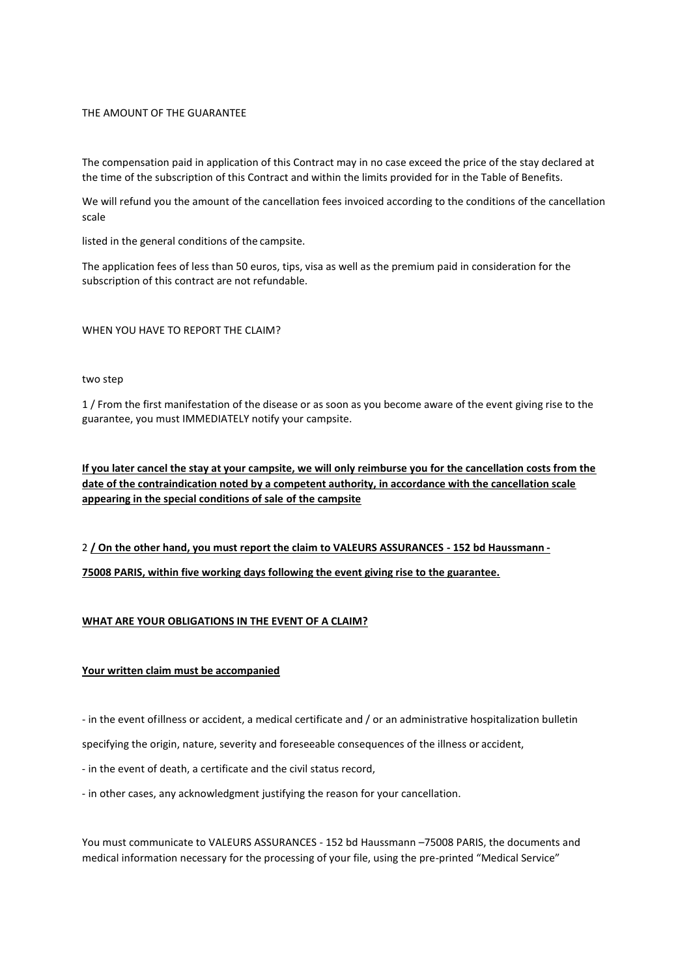# THE AMOUNT OF THE GUARANTEE

The compensation paid in application of this Contract may in no case exceed the price of the stay declared at the time of the subscription of this Contract and within the limits provided for in the Table of Benefits.

We will refund you the amount of the cancellation fees invoiced according to the conditions of the cancellation scale

listed in the general conditions of the campsite.

The application fees of less than 50 euros, tips, visa as well as the premium paid in consideration for the subscription of this contract are not refundable.

# WHEN YOU HAVE TO REPORT THE CLAIM?

## two step

1 / From the first manifestation of the disease or as soon as you become aware of the event giving rise to the guarantee, you must IMMEDIATELY notify your campsite.

**If you later cancel the stay at your campsite, we will only reimburse you for the cancellation costs from the date of the contraindication noted by a competent authority, in accordance with the cancellation scale appearing in the special conditions of sale of the campsite**

2 **/ On the other hand, you must report the claim to VALEURS ASSURANCES - 152 bd Haussmann - 75008 PARIS, within five working days following the event giving rise to the guarantee.**

# **WHAT ARE YOUR OBLIGATIONS IN THE EVENT OF A CLAIM?**

# **Your written claim must be accompanied**

- in the event ofillness or accident, a medical certificate and / or an administrative hospitalization bulletin

specifying the origin, nature, severity and foreseeable consequences of the illness or accident,

- in the event of death, a certificate and the civil status record,
- in other cases, any acknowledgment justifying the reason for your cancellation.

You must communicate to VALEURS ASSURANCES - 152 bd Haussmann –75008 PARIS, the documents and medical information necessary for the processing of your file, using the pre-printed "Medical Service"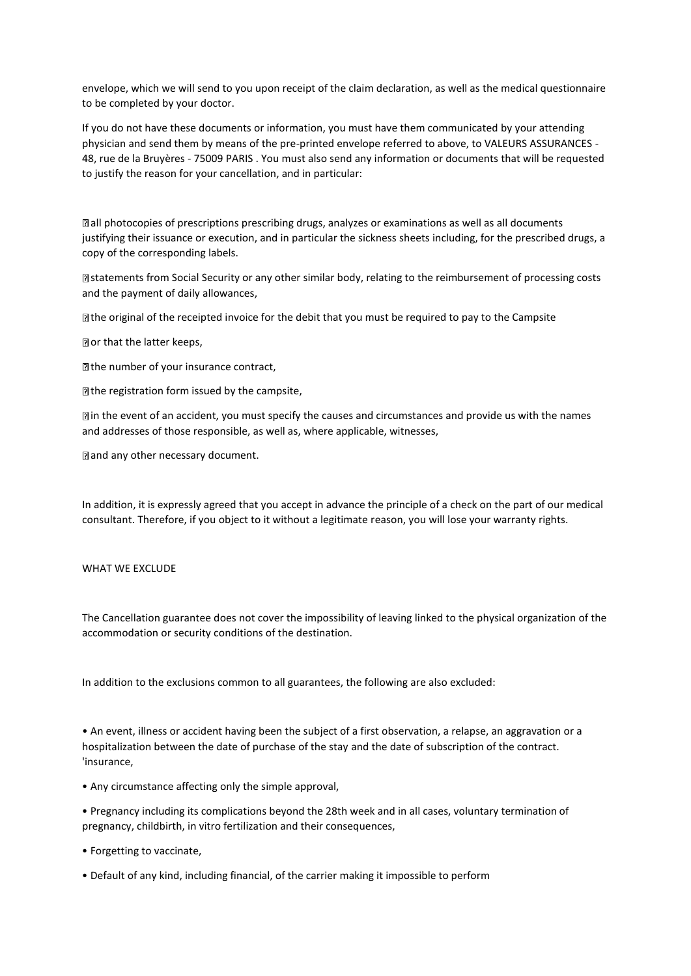envelope, which we will send to you upon receipt of the claim declaration, as well as the medical questionnaire to be completed by your doctor.

If you do not have these documents or information, you must have them communicated by your attending physician and send them by means of the pre-printed envelope referred to above, to VALEURS ASSURANCES - 48, rue de la Bruyères - 75009 PARIS . You must also send any information or documents that will be requested to justify the reason for your cancellation, and in particular:

all photocopies of prescriptions prescribing drugs, analyzes or examinations as well as all documents justifying their issuance or execution, and in particular the sickness sheets including, for the prescribed drugs, a copy of the corresponding labels.

statements from Social Security or any other similar body, relating to the reimbursement of processing costs and the payment of daily allowances,

 $\mathbb B$  the original of the receipted invoice for the debit that you must be required to pay to the Campsite

Dor that the latter keeps,

 $\Box$  the number of your insurance contract,

 $\mathbb D$  the registration form issued by the campsite,

in the event of an accident, you must specify the causes and circumstances and provide us with the names and addresses of those responsible, as well as, where applicable, witnesses,

**and any other necessary document.** 

In addition, it is expressly agreed that you accept in advance the principle of a check on the part of our medical consultant. Therefore, if you object to it without a legitimate reason, you will lose your warranty rights.

## WHAT WE EXCLUDE

The Cancellation guarantee does not cover the impossibility of leaving linked to the physical organization of the accommodation or security conditions of the destination.

In addition to the exclusions common to all guarantees, the following are also excluded:

• An event, illness or accident having been the subject of a first observation, a relapse, an aggravation or a hospitalization between the date of purchase of the stay and the date of subscription of the contract. 'insurance,

• Any circumstance affecting only the simple approval,

• Pregnancy including its complications beyond the 28th week and in all cases, voluntary termination of pregnancy, childbirth, in vitro fertilization and their consequences,

- Forgetting to vaccinate,
- Default of any kind, including financial, of the carrier making it impossible to perform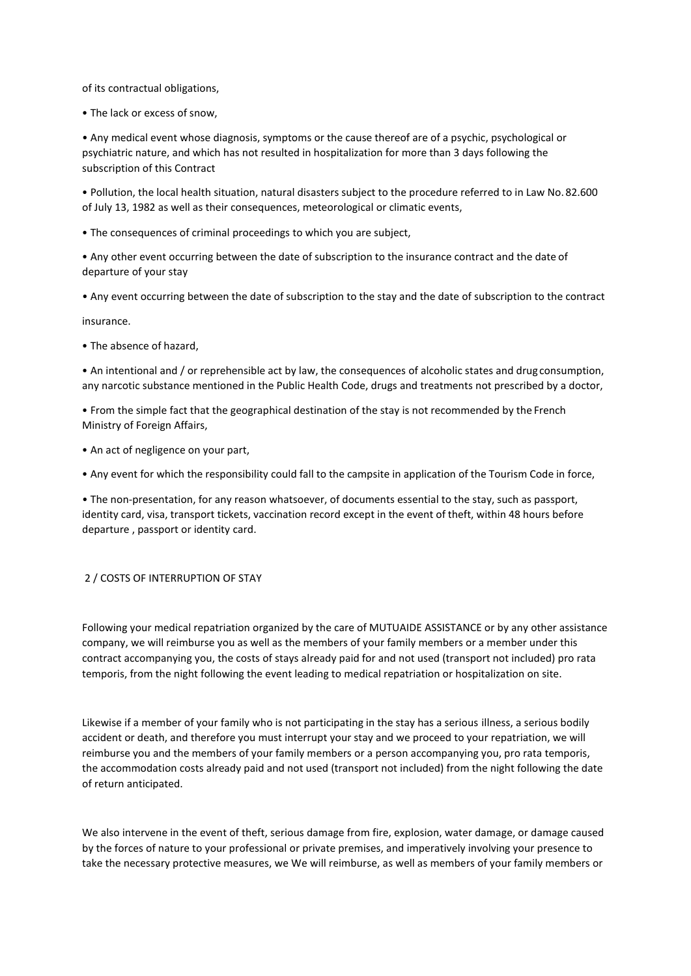of its contractual obligations,

• The lack or excess of snow,

• Any medical event whose diagnosis, symptoms or the cause thereof are of a psychic, psychological or psychiatric nature, and which has not resulted in hospitalization for more than 3 days following the subscription of this Contract

• Pollution, the local health situation, natural disasters subject to the procedure referred to in Law No. 82.600 of July 13, 1982 as well as their consequences, meteorological or climatic events,

• The consequences of criminal proceedings to which you are subject,

• Any other event occurring between the date of subscription to the insurance contract and the date of departure of your stay

• Any event occurring between the date of subscription to the stay and the date of subscription to the contract

insurance.

• The absence of hazard,

• An intentional and / or reprehensible act by law, the consequences of alcoholic states and drug consumption, any narcotic substance mentioned in the Public Health Code, drugs and treatments not prescribed by a doctor,

• From the simple fact that the geographical destination of the stay is not recommended by the French Ministry of Foreign Affairs,

• An act of negligence on your part,

• Any event for which the responsibility could fall to the campsite in application of the Tourism Code in force,

• The non-presentation, for any reason whatsoever, of documents essential to the stay, such as passport, identity card, visa, transport tickets, vaccination record except in the event of theft, within 48 hours before departure , passport or identity card.

# 2 / COSTS OF INTERRUPTION OF STAY

Following your medical repatriation organized by the care of MUTUAIDE ASSISTANCE or by any other assistance company, we will reimburse you as well as the members of your family members or a member under this contract accompanying you, the costs of stays already paid for and not used (transport not included) pro rata temporis, from the night following the event leading to medical repatriation or hospitalization on site.

Likewise if a member of your family who is not participating in the stay has a serious illness, a serious bodily accident or death, and therefore you must interrupt your stay and we proceed to your repatriation, we will reimburse you and the members of your family members or a person accompanying you, pro rata temporis, the accommodation costs already paid and not used (transport not included) from the night following the date of return anticipated.

We also intervene in the event of theft, serious damage from fire, explosion, water damage, or damage caused by the forces of nature to your professional or private premises, and imperatively involving your presence to take the necessary protective measures, we We will reimburse, as well as members of your family members or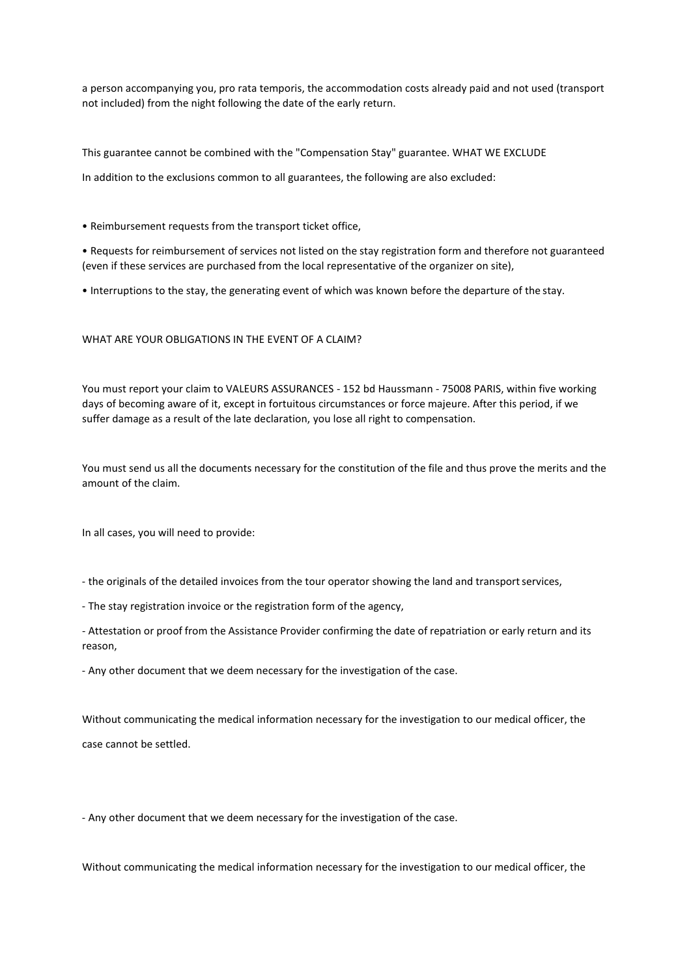a person accompanying you, pro rata temporis, the accommodation costs already paid and not used (transport not included) from the night following the date of the early return.

This guarantee cannot be combined with the "Compensation Stay" guarantee. WHAT WE EXCLUDE

In addition to the exclusions common to all guarantees, the following are also excluded:

• Reimbursement requests from the transport ticket office,

• Requests for reimbursement of services not listed on the stay registration form and therefore not guaranteed (even if these services are purchased from the local representative of the organizer on site),

• Interruptions to the stay, the generating event of which was known before the departure of the stay.

# WHAT ARE YOUR OBLIGATIONS IN THE EVENT OF A CLAIM?

You must report your claim to VALEURS ASSURANCES - 152 bd Haussmann - 75008 PARIS, within five working days of becoming aware of it, except in fortuitous circumstances or force majeure. After this period, if we suffer damage as a result of the late declaration, you lose all right to compensation.

You must send us all the documents necessary for the constitution of the file and thus prove the merits and the amount of the claim.

In all cases, you will need to provide:

- the originals of the detailed invoices from the tour operator showing the land and transportservices,
- The stay registration invoice or the registration form of the agency,
- Attestation or proof from the Assistance Provider confirming the date of repatriation or early return and its reason,
- Any other document that we deem necessary for the investigation of the case.

Without communicating the medical information necessary for the investigation to our medical officer, the case cannot be settled.

- Any other document that we deem necessary for the investigation of the case.

Without communicating the medical information necessary for the investigation to our medical officer, the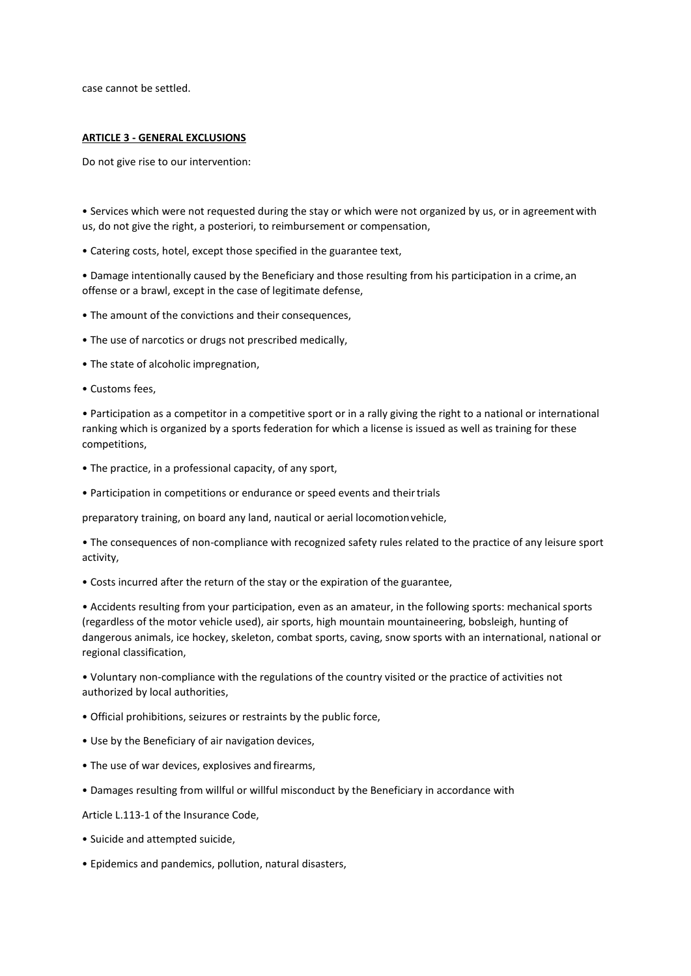case cannot be settled.

## **ARTICLE 3 - GENERAL EXCLUSIONS**

Do not give rise to our intervention:

• Services which were not requested during the stay or which were not organized by us, or in agreementwith us, do not give the right, a posteriori, to reimbursement or compensation,

• Catering costs, hotel, except those specified in the guarantee text,

• Damage intentionally caused by the Beneficiary and those resulting from his participation in a crime, an offense or a brawl, except in the case of legitimate defense,

- The amount of the convictions and their consequences,
- The use of narcotics or drugs not prescribed medically,
- The state of alcoholic impregnation,
- Customs fees,

• Participation as a competitor in a competitive sport or in a rally giving the right to a national or international ranking which is organized by a sports federation for which a license is issued as well as training for these competitions,

- The practice, in a professional capacity, of any sport,
- Participation in competitions or endurance or speed events and theirtrials

preparatory training, on board any land, nautical or aerial locomotionvehicle,

• The consequences of non-compliance with recognized safety rules related to the practice of any leisure sport activity,

• Costs incurred after the return of the stay or the expiration of the guarantee,

• Accidents resulting from your participation, even as an amateur, in the following sports: mechanical sports (regardless of the motor vehicle used), air sports, high mountain mountaineering, bobsleigh, hunting of dangerous animals, ice hockey, skeleton, combat sports, caving, snow sports with an international, national or regional classification,

• Voluntary non-compliance with the regulations of the country visited or the practice of activities not authorized by local authorities,

- Official prohibitions, seizures or restraints by the public force,
- Use by the Beneficiary of air navigation devices,
- The use of war devices, explosives and firearms,
- Damages resulting from willful or willful misconduct by the Beneficiary in accordance with

Article L.113-1 of the Insurance Code,

- Suicide and attempted suicide,
- Epidemics and pandemics, pollution, natural disasters,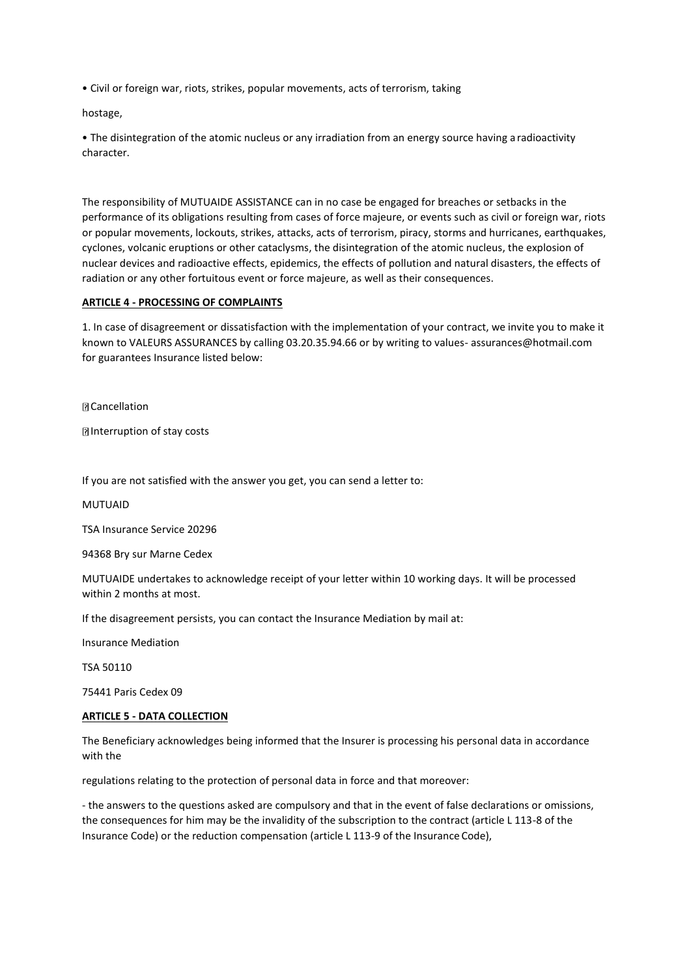• Civil or foreign war, riots, strikes, popular movements, acts of terrorism, taking

hostage,

• The disintegration of the atomic nucleus or any irradiation from an energy source having a radioactivity character.

The responsibility of MUTUAIDE ASSISTANCE can in no case be engaged for breaches or setbacks in the performance of its obligations resulting from cases of force majeure, or events such as civil or foreign war, riots or popular movements, lockouts, strikes, attacks, acts of terrorism, piracy, storms and hurricanes, earthquakes, cyclones, volcanic eruptions or other cataclysms, the disintegration of the atomic nucleus, the explosion of nuclear devices and radioactive effects, epidemics, the effects of pollution and natural disasters, the effects of radiation or any other fortuitous event or force majeure, as well as their consequences.

# **ARTICLE 4 - PROCESSING OF COMPLAINTS**

1. In case of disagreement or dissatisfaction with the implementation of your contract, we invite you to make it known to VALEURS ASSURANCES by calling 03.20.35.94.66 or by writing to values- [assurances@hotmail.com](mailto:assurances@hotmail.com) for guarantees Insurance listed below:

**D** Cancellation

Interruption of stay costs

If you are not satisfied with the answer you get, you can send a letter to:

MUTUAID

TSA Insurance Service 20296

94368 Bry sur Marne Cedex

MUTUAIDE undertakes to acknowledge receipt of your letter within 10 working days. It will be processed within 2 months at most.

If the disagreement persists, you can contact the Insurance Mediation by mail at:

Insurance Mediation

TSA 50110

75441 Paris Cedex 09

## **ARTICLE 5 - DATA COLLECTION**

The Beneficiary acknowledges being informed that the Insurer is processing his personal data in accordance with the

regulations relating to the protection of personal data in force and that moreover:

- the answers to the questions asked are compulsory and that in the event of false declarations or omissions, the consequences for him may be the invalidity of the subscription to the contract (article L 113-8 of the Insurance Code) or the reduction compensation (article L 113-9 of the Insurance Code),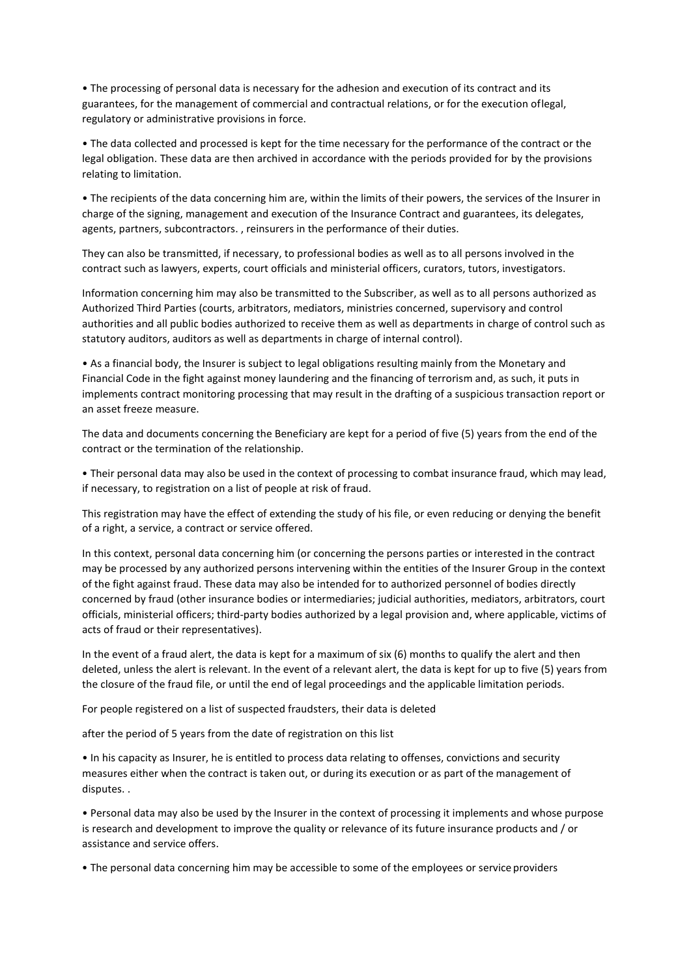• The processing of personal data is necessary for the adhesion and execution of its contract and its guarantees, for the management of commercial and contractual relations, or for the execution oflegal, regulatory or administrative provisions in force.

• The data collected and processed is kept for the time necessary for the performance of the contract or the legal obligation. These data are then archived in accordance with the periods provided for by the provisions relating to limitation.

• The recipients of the data concerning him are, within the limits of their powers, the services of the Insurer in charge of the signing, management and execution of the Insurance Contract and guarantees, its delegates, agents, partners, subcontractors. , reinsurers in the performance of their duties.

They can also be transmitted, if necessary, to professional bodies as well as to all persons involved in the contract such as lawyers, experts, court officials and ministerial officers, curators, tutors, investigators.

Information concerning him may also be transmitted to the Subscriber, as well as to all persons authorized as Authorized Third Parties (courts, arbitrators, mediators, ministries concerned, supervisory and control authorities and all public bodies authorized to receive them as well as departments in charge of control such as statutory auditors, auditors as well as departments in charge of internal control).

• As a financial body, the Insurer is subject to legal obligations resulting mainly from the Monetary and Financial Code in the fight against money laundering and the financing of terrorism and, as such, it puts in implements contract monitoring processing that may result in the drafting of a suspicious transaction report or an asset freeze measure.

The data and documents concerning the Beneficiary are kept for a period of five (5) years from the end of the contract or the termination of the relationship.

• Their personal data may also be used in the context of processing to combat insurance fraud, which may lead, if necessary, to registration on a list of people at risk of fraud.

This registration may have the effect of extending the study of his file, or even reducing or denying the benefit of a right, a service, a contract or service offered.

In this context, personal data concerning him (or concerning the persons parties or interested in the contract may be processed by any authorized persons intervening within the entities of the Insurer Group in the context of the fight against fraud. These data may also be intended for to authorized personnel of bodies directly concerned by fraud (other insurance bodies or intermediaries; judicial authorities, mediators, arbitrators, court officials, ministerial officers; third-party bodies authorized by a legal provision and, where applicable, victims of acts of fraud or their representatives).

In the event of a fraud alert, the data is kept for a maximum of six (6) months to qualify the alert and then deleted, unless the alert is relevant. In the event of a relevant alert, the data is kept for up to five (5) years from the closure of the fraud file, or until the end of legal proceedings and the applicable limitation periods.

For people registered on a list of suspected fraudsters, their data is deleted

after the period of 5 years from the date of registration on this list

• In his capacity as Insurer, he is entitled to process data relating to offenses, convictions and security measures either when the contract is taken out, or during its execution or as part of the management of disputes. .

• Personal data may also be used by the Insurer in the context of processing it implements and whose purpose is research and development to improve the quality or relevance of its future insurance products and / or assistance and service offers.

• The personal data concerning him may be accessible to some of the employees or service providers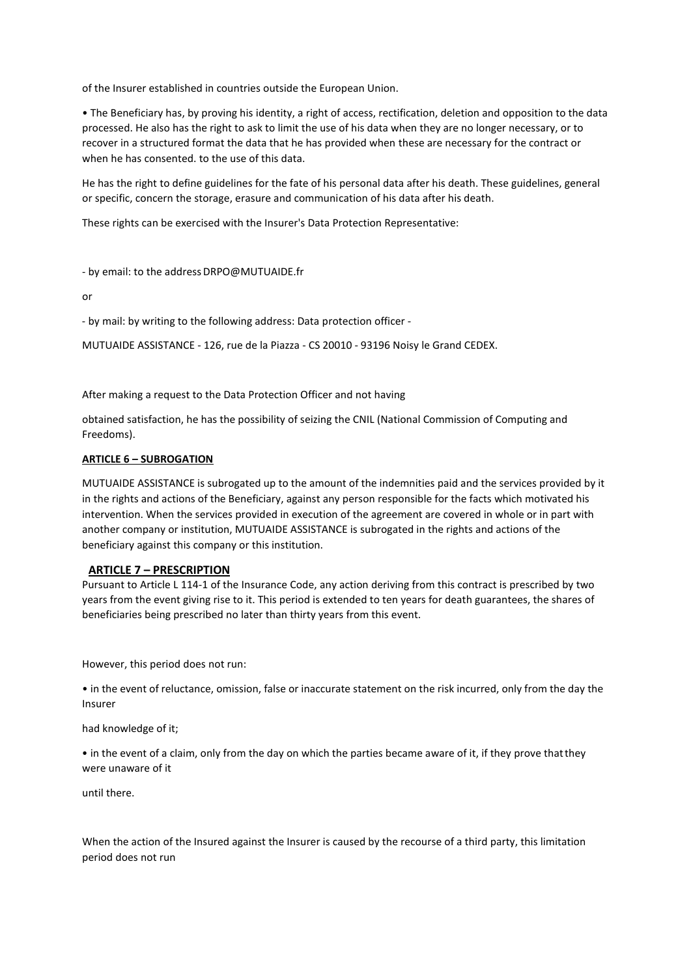of the Insurer established in countries outside the European Union.

• The Beneficiary has, by proving his identity, a right of access, rectification, deletion and opposition to the data processed. He also has the right to ask to limit the use of his data when they are no longer necessary, or to recover in a structured format the data that he has provided when these are necessary for the contract or when he has consented. to the use of this data.

He has the right to define guidelines for the fate of his personal data after his death. These guidelines, general or specific, concern the storage, erasure and communication of his data after his death.

These rights can be exercised with the Insurer's Data Protection Representative:

- by email: to the address DRPO@MUTUAIDE.fr

or

- by mail: by writing to the following address: Data protection officer -

MUTUAIDE ASSISTANCE - 126, rue de la Piazza - CS 20010 - 93196 Noisy le Grand CEDEX.

After making a request to the Data Protection Officer and not having

obtained satisfaction, he has the possibility of seizing the CNIL (National Commission of Computing and Freedoms).

# **ARTICLE 6 – SUBROGATION**

MUTUAIDE ASSISTANCE is subrogated up to the amount of the indemnities paid and the services provided by it in the rights and actions of the Beneficiary, against any person responsible for the facts which motivated his intervention. When the services provided in execution of the agreement are covered in whole or in part with another company or institution, MUTUAIDE ASSISTANCE is subrogated in the rights and actions of the beneficiary against this company or this institution.

## **ARTICLE 7 – PRESCRIPTION**

Pursuant to Article L 114-1 of the Insurance Code, any action deriving from this contract is prescribed by two years from the event giving rise to it. This period is extended to ten years for death guarantees, the shares of beneficiaries being prescribed no later than thirty years from this event.

However, this period does not run:

• in the event of reluctance, omission, false or inaccurate statement on the risk incurred, only from the day the Insurer

had knowledge of it;

• in the event of a claim, only from the day on which the parties became aware of it, if they prove thatthey were unaware of it

until there.

When the action of the Insured against the Insurer is caused by the recourse of a third party, this limitation period does not run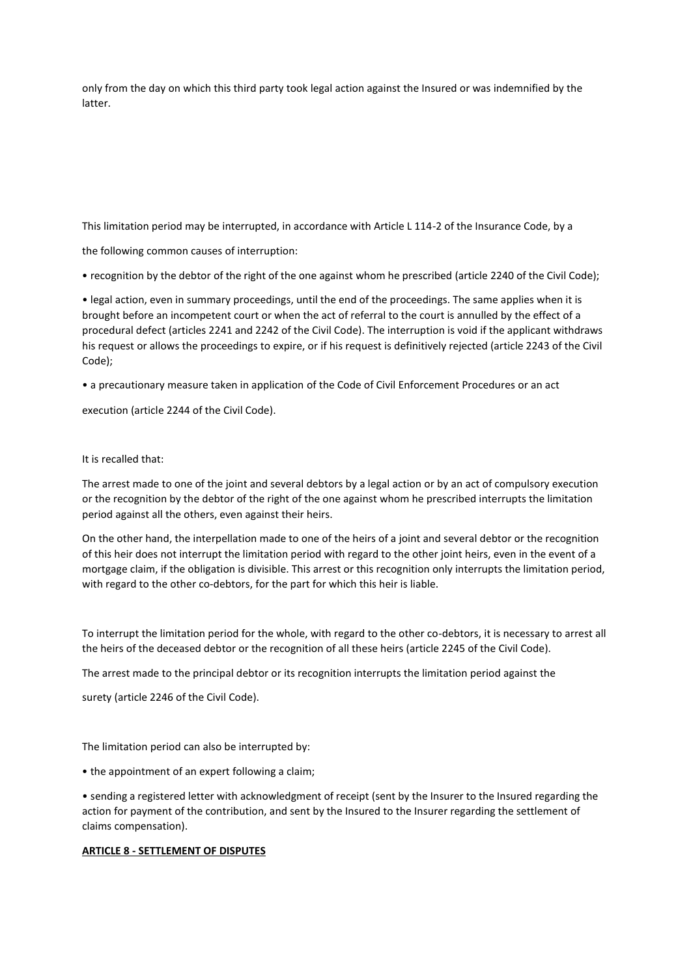only from the day on which this third party took legal action against the Insured or was indemnified by the latter.

This limitation period may be interrupted, in accordance with Article L 114-2 of the Insurance Code, by a

the following common causes of interruption:

• recognition by the debtor of the right of the one against whom he prescribed (article 2240 of the Civil Code);

• legal action, even in summary proceedings, until the end of the proceedings. The same applies when it is brought before an incompetent court or when the act of referral to the court is annulled by the effect of a procedural defect (articles 2241 and 2242 of the Civil Code). The interruption is void if the applicant withdraws his request or allows the proceedings to expire, or if his request is definitively rejected (article 2243 of the Civil Code);

• a precautionary measure taken in application of the Code of Civil Enforcement Procedures or an act

execution (article 2244 of the Civil Code).

It is recalled that:

The arrest made to one of the joint and several debtors by a legal action or by an act of compulsory execution or the recognition by the debtor of the right of the one against whom he prescribed interrupts the limitation period against all the others, even against their heirs.

On the other hand, the interpellation made to one of the heirs of a joint and several debtor or the recognition of this heir does not interrupt the limitation period with regard to the other joint heirs, even in the event of a mortgage claim, if the obligation is divisible. This arrest or this recognition only interrupts the limitation period, with regard to the other co-debtors, for the part for which this heir is liable.

To interrupt the limitation period for the whole, with regard to the other co-debtors, it is necessary to arrest all the heirs of the deceased debtor or the recognition of all these heirs (article 2245 of the Civil Code).

The arrest made to the principal debtor or its recognition interrupts the limitation period against the

surety (article 2246 of the Civil Code).

The limitation period can also be interrupted by:

• the appointment of an expert following a claim;

• sending a registered letter with acknowledgment of receipt (sent by the Insurer to the Insured regarding the action for payment of the contribution, and sent by the Insured to the Insurer regarding the settlement of claims compensation).

# **ARTICLE 8 - SETTLEMENT OF DISPUTES**